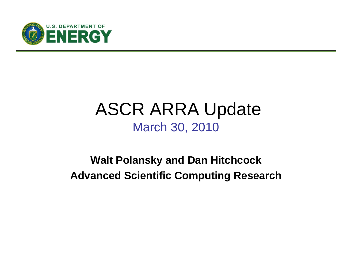

# ASCR ARRA Update March 30, 2010

### **Walt Polansky and Dan Hitchcock Advanced Scientific Computing Research**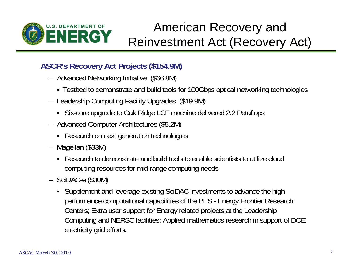

# American Recovery and Reinvestment Act (Recovery Act)

#### **ASCR's Recovery Act Projects (\$154.9M)**

- Advanced Networking Initiative (\$66.8M)
	- Testbed to demonstrate and build tools for 100Gbps optical networking technologies
- Leadership Computing Facility Upgrades (\$19.9M)
	- Six-core upgrade to Oak Ridge LCF machine delivered 2.2 Petaflops
- Advanced Computer Architectures (\$5.2M)
	- Research on next generation technologies
- Magellan (\$33M)
	- Research to demonstrate and build tools to enable scientists to utilize cloud computing resources for mid-range computing needs
- SciDAC-e (\$30M)
	- Supplement and leverage existing SciDAC investments to advance the high performance computational capabilities of the BES - Energy Frontier Research Centers; Extra user support for Energy related projects at the Leadership Computing and NERSC facilities; Applied mathematics research in support of DOE electricity grid efforts.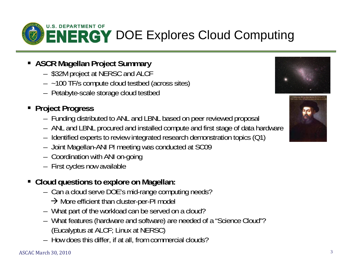

- **ASCR Magellan Project Summary** 
	- \$32M project at NERSC and ALCF
	- ~100 TF/s compute cloud testbed (across sites)
	- Petabyte-scale storage cloud testbed

#### **Project Progress**

- Funding distributed to ANL and LBNL based on peer reviewed proposal
- ANL and LBNL procured and installed compute and first stage of data hardware
- Identified experts to review integrated research demonstration topics (Q1)
- Joint Magellan-ANI PI meeting was conducted at SC09
- Coordination with ANI on-going
- First cycles now available

#### **Cloud questions to explore on Magellan:**

- Can a cloud serve DOE's mid-range computing needs?
	- $\rightarrow$  More efficient than cluster-per-PI model
- What part of the workload can be served on a cloud?
- What features (hardware and software) are needed of a "Science Cloud"? (Eucalyptus at ALCF; Linux at NERSC)
- How does this differ, if at all, from commercial clouds?



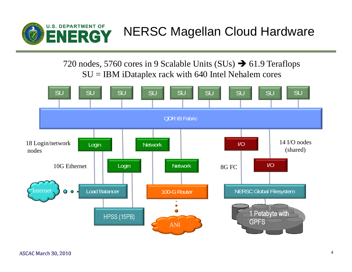

720 nodes, 5760 cores in 9 Scalable Units (SUs)  $\rightarrow$  61.9 Teraflops SU = IBM iDataplex rack with 640 Intel Nehalem cores

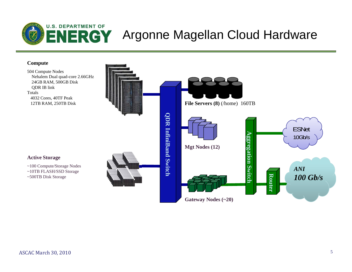

#### **Compute**

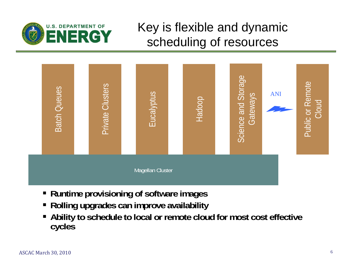

# Key is flexible and dynamic scheduling of resources



- **Runtime provisioning of software images**
- П **Rolling upgrades can improve availability**
- $\blacksquare$  **Ability to schedule to local or remote cloud for most cost effective cycles**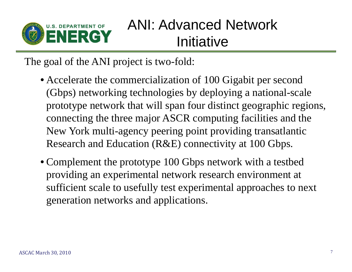

# ANI: Advanced Network Initiative

The goal of the ANI project is two-fold:

- Accelerate the commercialization of 100 Gigabit per second (Gbps) networking technologies by deploying a national-scale prototype network that will span four distinct geographic regions, connecting the three major ASCR computing facilities and the New York multi-agency peering point providing transatlantic Research and Education (R&E) connectivity at 100 Gbps.
- Complement the prototype 100 Gbps network with a testbed providing an experimental network research environment at sufficient scale to usefully test experimental approaches to next generation networks and applications.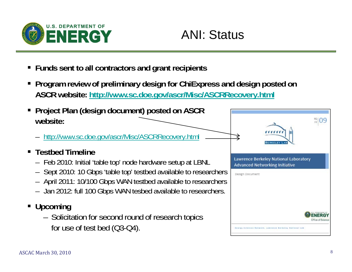

# ANI: Status

- **Funds sent to all contractors and grant recipients**
- **Program review of preliminary design for ChiExpress and design posted on ASCR website: http://www.sc.doe.gov/ascr/Misc/ASCRRecovery.html**
- **Project Plan (design document) posted on ASCR website:** 
	- –http://www.sc.doe.gov/ascr/Misc/ASCRRecovery.html
- **Example 3 Testbed Timeline** 
	- Feb 2010: Initial 'table top' node hardware setup at LBNL
	- Sept 2010: 10 Gbps 'table top' testbed available to researchers
	- April 2011: 10/100 Gbps WAN testbed available to researchers
	- Jan 2012: full 100 Gbps WAN tesbed available to researchers.
- **Upcoming** 
	- – Solicitation for second round of research topics for use of test bed (Q3-Q4).

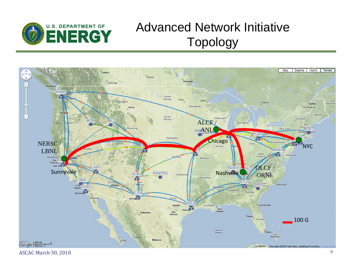

## Advanced Network Initiative Topology

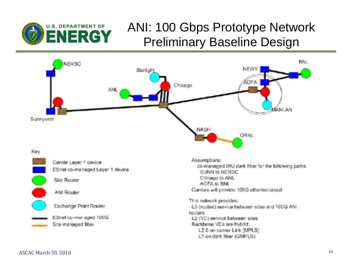

## ANI: 100 Gbps Prototype Network Preliminary Baseline Design

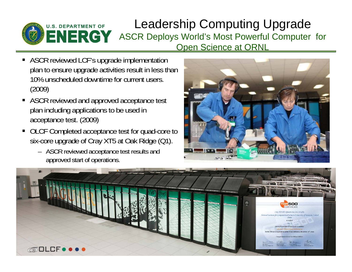

#### Leadership Computing Upgrade ASCR Deploys World's Most Powerful Computer for Open Science at ORNL

- ASCR reviewed LCF's upgrade implementation plan to ensure upgrade activities result in less than 10% unscheduled downtime for current users. (2009)
- ASCR reviewed and approved acceptance test plan including applications to be used in acceptance test. (2009)
- OLCF Completed acceptance test for quad-core to six-core upgrade of Cray XT5 at Oak Ridge (Q1).
	- ASCR reviewed acceptance test results and approved start of operations.



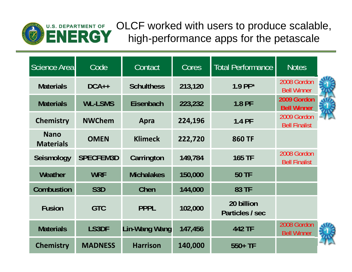

OLCF worked with users to produce scalable, high-performance apps for the petascale

| Science Area                    | Code             | Contact              | Cores   | <b>Total Performance</b>      | <b>Notes</b>                        |  |
|---------------------------------|------------------|----------------------|---------|-------------------------------|-------------------------------------|--|
| <b>Materials</b>                | $DCA++$          | <b>Schulthess</b>    | 213,120 | $1.9$ PF*                     | 2008 Gordon<br><b>Bell Winner</b>   |  |
| <b>Materials</b>                | <b>WL-LSMS</b>   | Eisenbach            | 223,232 | 1.8 PF                        | 2009 Gordon<br><b>Bell Winner</b>   |  |
| <b>Chemistry</b>                | <b>NWChem</b>    | Apra                 | 224,196 | 1.4 PF                        | 2009 Gordon<br><b>Bell Finalist</b> |  |
| <b>Nano</b><br><b>Materials</b> | <b>OMEN</b>      | <b>Klimeck</b>       | 222,720 | <b>860 TF</b>                 |                                     |  |
| Seismology                      | <b>SPECFEM3D</b> | Carrington           | 149,784 | <b>165 TF</b>                 | 2008 Gordon<br><b>Bell Finalist</b> |  |
| Weather                         | <b>WRF</b>       | <b>Michalakes</b>    | 150,000 | <b>50 TF</b>                  |                                     |  |
| Combustion                      | S <sub>3</sub> D | Chen                 | 144,000 | 83 TF                         |                                     |  |
| <b>Fusion</b>                   | <b>GTC</b>       | <b>PPPL</b>          | 102,000 | 20 billion<br>Particles / sec |                                     |  |
| <b>Materials</b>                | LS3DF            | <b>Lin-Wang Wang</b> | 147,456 | 442 TF                        | 2008 Gordon<br><b>Bell Winner</b>   |  |
| <b>Chemistry</b>                | <b>MADNESS</b>   | <b>Harrison</b>      | 140,000 | $550+TF$                      |                                     |  |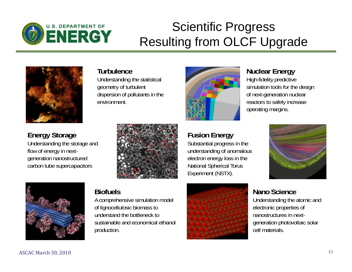

# Scientific Progress Resulting from OLCF Upgrade



#### **Turbulence**

Understanding the statistical geometry of turbulent dispersion of pollutants in the environment.



**Fusion Energy**

Substantial progress in the understanding of anomalous electron energy loss in the National Spherical Torus Experiment (NSTX).

#### **Nuclear Energy**

High-fidelity predictive simulation tools for the design of next-generation nuclear reactors to safely increase operating margins.

**Energy Storage**

flow of energy in nextgeneration nanostructured carbon tube supercapacitors



Understanding the storage and





#### **Biofuels**

A comprehensive simulation model of lignocellulosic biomass to understand the bottleneck to sustainable and economical ethanol production.



**Nano Science**Understanding the atomic and electronic properties of

nanostructures in nextgeneration photovoltaic solar cell materials.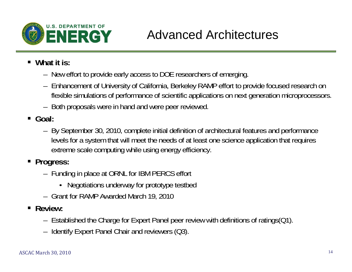

# Advanced Architectures

- **What it is:** 
	- New effort to provide early access to DOE researchers of emerging.
	- Enhancement of University of California, Berkeley RAMP effort to provide focused research on flexible simulations of performance of scientific applications on next generation microprocessors.
	- Both proposals were in hand and were peer reviewed.
- **Goal:** 
	- By September 30, 2010, complete initial definition of architectural features and performance levels for a system that will meet the needs of at least one science application that requires extreme scale computing while using energy efficiency.
- **Progress:** 
	- Funding in place at ORNL for IBM PERCS effort
		- Negotiations underway for prototype testbed
	- Grant for RAMP Awarded March 19, 2010
- ٠ **Review:** 
	- Established the Charge for Expert Panel peer review with definitions of ratings(Q1).
	- Identify Expert Panel Chair and reviewers (Q3).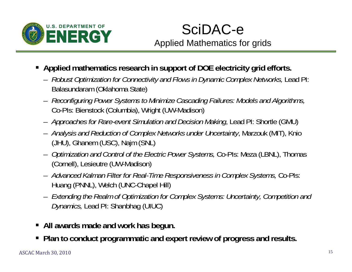

## SciDAC-e Applied Mathematics for grids

- **Applied mathematics research in support of DOE electricity grid efforts.** 
	- *Robust Optimization for Connectivity and Flows in Dynamic Complex Networks,* Lead PI: Balasundaram (Oklahoma State)
	- *Reconfiguring Power Systems to Minimize Cascading Failures: Models and Algorithms,*  Co-PIs: Bienstock (Columbia), Wright (UW-Madison)
	- *Approaches for Rare-event Simulation and Decision Making*, Lead PI: Shortle (GMU)
	- *Analysis and Reduction of Complex Networks under Uncertainty*, Marzouk (MIT), Knio (JHU), Ghanem (USC), Najm (SNL)
	- *Optimization and Control of the Electric Power Systems,* Co-PIs: Meza (LBNL), Thomas (Cornell), Lesieutre (UW-Madison)
	- *Advanced Kalman Filter for Real-Time Responsiveness in Complex Systems,* Co-PIs: Huang (PNNL), Welch (UNC-Chapel Hill)
	- *Extending the Realm of Optimization for Complex Systems: Uncertainty, Competition and Dynamics,* Lead PI: Shanbhag (UIUC)
- П **All awards made and work has begun.**
- **Plan to conduct programmatic and expert review of progress and results.**